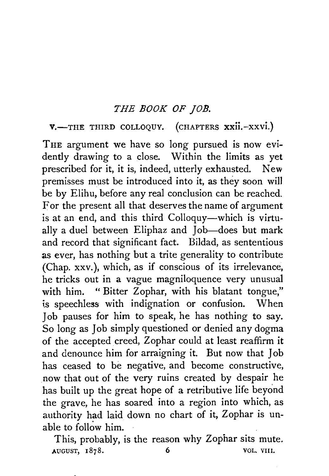### *THE BOOK OF JOB.*

V.-THE THIRD COLLOQUY. (CHAPTERS XXII.-XXVI.)

THE argument we have so long pursued is now evidently drawing to a close. Within the limits as yet prescribed for it, it is, indeed, utterly exhausted. New premisses must be introduced into it, as they soon will be by Elihu, before any real conclusion can be reached. For the present all that deserves the name of argument is at an end, and this third Colloquy-which is virtually a duel between Eliphaz and Job-does but mark and record that significant fact. Bildad, as sententious as ever, has nothing but a trite generality to contribute (Chap. xxv. ), which, as if conscious of its irrelevance, he tricks out in a vague magniloquence very unusual with him. " Bitter Zophar, with his blatant tongue," is speechless with indignation or confusion. When Job pauses for him to speak, he has nothing to say. So long as Job simply questioned or denied any dogma of the accepted creed, Zophar could at least reaffirm it and denounce him for arraigning it. But now that Job has ceased to be negative, and become constructive, now that out of the very ruins created by despair he has built up the great hope of a retributive life beyond the grave, he has soared into a region into which, as authority had laid down no chart of it, Zophar is unable to follow him.

This, probably, is the reason why Zophar sits mute. AUGUST, 1878. 6 VOL. VIII.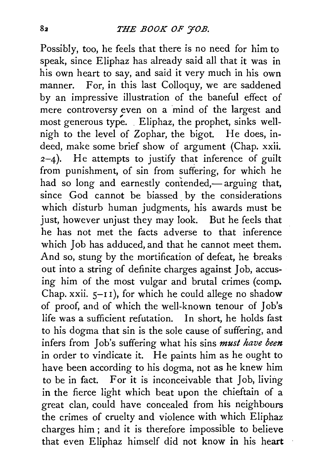Possibly, too, he feels that there is no need for him to speak, since Eliphaz has already said all that it was in his own heart to say, and said it very much in his own manner. For, in this last Colloquy, we are saddened by an impressive illustration of the baneful effect of mere controversy even on a mind of the largest and most generous type. Eliphaz, the prophet, sinks wellnigh to the level of Zophar, the bigot. He does, indeed, make some brief show of argument (Chap. xxii.  $2-4$ ). He attempts to justify that inference of guilt from punishment, of sin from suffering, for which he had so long and earnestly contended,—arguing that, since God cannot be biassed by the considerations which disturb human judgments, his awards must be just, however unjust they may look. But he feels that he has not met the facts adverse to that inference which Job has adduced, and that he cannot meet them. And so, stung by the mortification of defeat, he breaks out into a string of definite charges against Job, accusing him of the most vulgar and brutal crimes (comp. Chap. xxii.  $5-I1$ ), for which he could allege no shadow of proof, and of which the well-known tenour of Job's life was a sufficient refutation. In short, he holds fast to his dogma that sin is the sole cause of suffering, and infers from Job's suffering what his sins *must have been*  in order to vindicate it. He paints him as he ought to have been according to his dogma, not as he knew him to be in fact. For it is inconceivable that Job, living in the fierce light which beat upon the chieftain of a great clan, could have concealed from his neighbours the crimes of cruelty and violence with which Eliphaz charges him; and it is therefore impossible to believe that even Eliphaz himself did not know in his heart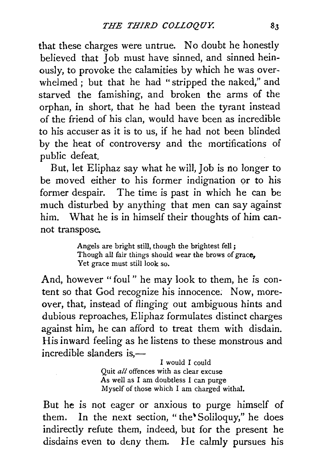that these charges were untrue. No doubt he honestly believed that Job must have sinned, and sinned heinously, to provoke the calamities by which he was overwhelmed ; but that he had "stripped the naked," and starved the famishing, and broken the arms of the orphan, in short, that he had been the tyrant instead of the friend of his clan, would have been as incredible to his accuser as it is to us, if he had not been blinded by the heat of controversy and the mortifications of public defeat.

But, let Eliphaz say what he will, Job is no longer to be moved either to his former indignation or to his former despair. The time is past in which he can be much disturbed by anything that men can say against him. What he is in himself their thoughts of him cannot transpose.

> Angels are bright still, though the brightest fell ; Though all fair things should wear the brows of grace, Yet grace must still look so.

And, however "foul " he may look to them, he is content so that God recognize his innocence; Now, moreover, that, instead of flinging out ambiguous hints and dubious reproaches, Eliphaz formulates distinct charges against him, he can afford to treat them with disdain. His inward feeling as he listens to these monstrous and incredible slanders is, $-$ 

> I would I could Quit *all* offences with as clear excuse As well as I am doubtless I can purge Myself of those which I am charged withal.

But he is not eager or anxious to purge himself of them. In the next section, "the Soliloquy," he does indirectly refute them, indeed, but for the present he disdains even to deny them. He calmly pursues his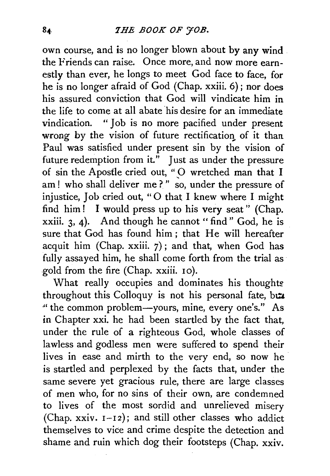own course, and is no longer blown about by any wind the Friends can raise. Once more, and now more earnestly than ever, he longs to meet God face to face, for he is no longer afraid of God (Chap. xxiii. 6); nor does his assured conviction that God will vindicate him in the life to come at all abate his desire for an immediate vindication. " Job is no more pacified under present wrong by the vision of future rectification of it than Paul was satisfied under present sin by the vision of future redemption from it." Just as under the pressure of sin the Apostle cried out, "O wretched man that I am! who shall deliver me?" so, under the pressure of injustice, Job cried out, "0 that I knew where I might find him! I would press up to his very seat" (Chap.  $xxiii. 3, 4$ ). And though he cannot " find " God, he is sure that God has found him; that He will hereafter acquit him (Chap. xxiii. 7); and that, when God has fully assayed him, he shall come forth from the trial as .gold from the fire (Chap. xxiii. 10).

What really occupies and dominates his thoughts throughout this Colloquy is not his personal fate, but " the common problem-yours, mine, every one's." As in Chapter xxi. he had been startled by the fact that, under the rule of a righteous God, whole classes of lawless and godless men were suffered to spend their lives in ease and mirth to the very end, so now he is startled and perplexed by the facts that, under the same severe yet gracious rule, there are large classes of men who, for no sins of their own, are condemned to lives of the most sordid and unrelieved misery (Chap. xxiv. 1-12); and still other classes who addict themselves to vice and crime despite the detection and shame and ruin which dog their footsteps (Chap. xxiv.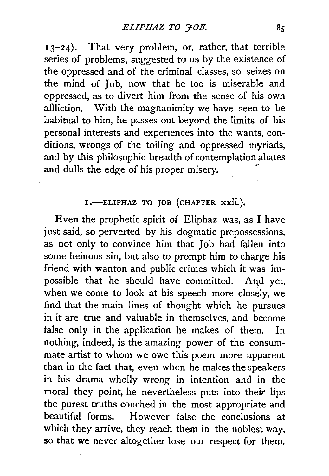<sup>1</sup>3-24). That very problem, or, rather, that terrible series of problems, suggested to us by the existence of the oppressed and of the criminal classes, so seizes on the mind of Job, now that he too is miserable and oppressed, as to divert him from the sense of his own affliction. With the magnanimity we have seen to be habitual to him, he passes out beyond the limits of his personal interests and experiences into the wants, conditions, wrongs of the toiling and oppressed myriads, and by this philosophic breadth of contemplation abates and dulls the edge of his proper misery.

# 1.-ELIPHAZ TO JOB (CHAPTER XXII.).

Even the prophetic spirit of Eliphaz was, as I have just said, so perverted by his dogmatic prepossessions, as not only to convince him that Job had fallen into some heinous sin, but also to prompt him to charge his friend with wanton and public crimes which it was impossible that he should have committed. And yet, when we come to look at his speech more closely, we find that the main lines of thought which he pursues in it are true and valuable in themselves, and become false only in the application he makes of them. In nothing, indeed, is the amazing power of the consummate artist to whom we owe this poem more apparent than in the fact that, even when he makes the speakers in his drama wholly wrong in intention and in the moral they point, he nevertheless puts into their lips the purest truths couched in the most appropriate and beautiful forms. However false the conclusions at which they arrive, they reach them in the noblest way, so that we never altogether lose our respect for them.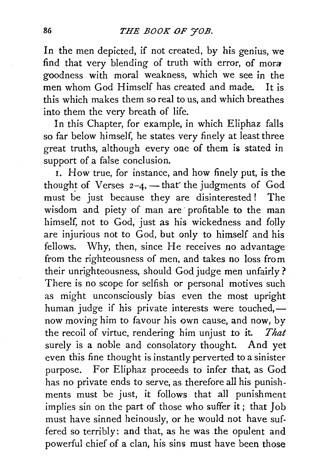In the men depicted, if not created, by his genius, we find that very blending of truth with error, of mora goodness with moral weakness, which we see in the men whom God Himself has created and made. It is this which makes them so real to us, and which breathes into them the very breath of life.

In this Chapter, for example, in which Eliphaz falls so far below himself, he states very finely at least three great truths, although every one of them is stated in support of a false conclusion.

I. How true, for instance, and how finely put, is the thought of Verses  $2-4$ , - that' the judgments of God must be just because they are disinterested ! The wisdom and piety of man are profitable to the man himself, not to God, just as his wickedness and folly are injurious not to God, but only to himself and his fellows. Why, then, since He receives no advantage from the righteousness of men, and takes no loss from their unrighteousness, should God judge men unfairly? There is no scope for selfish or personal motives such as might unconsciously bias even the most upright human judge if his private interests were touched, $$ now moving him to favour his own cause, and now, by the recoil of virtue, rendering him unjust to it. *That*  surely is a noble and consolatory thought. And yet even this fine thought is instantly perverted to a sinister purpose. For Eliphaz proceeds to infer that, as God has no private ends to serve, as therefore all his punishments must be just, it follows that all punishment implies sin on the part of those who suffer it; that Job must have sinned heinously, or he would not have suffered so terribly: and that, as he was .the opulent and powerful chief of a clan, his sins must have been those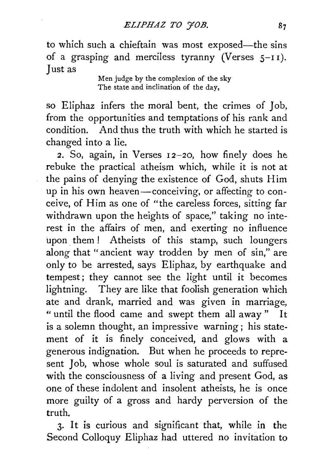to which such a chieftain was most exposed-the sins of a grasping and merciless tyranny (Verses  $5-11$ ). Just as

Men judge by the complexion of the sky The state and inclination of the day,

so Eliphaz infers the moral bent, the crimes of Job, from the opportunities and temptations of his rank and condition. And thus the truth with which he started is changed into a lie.

2. So, again, in Verses  $12-20$ , how finely does he rebuke the practical atheism which, while it is not at the pains of denying the existence of God, shuts Him up in his own heaven-conceiving, or affecting to conceive, of Him as one of "the careless forces, sitting far withdrawn upon the heights of space," taking no interest in the affairs of men, and exerting no influence upon them ! Atheists of this stamp, such loungers along that "ancient way trodden by men of sin," are only to be arrested, says Eliphaz, by earthquake and tempest; they cannot see the light until it becomes lightning. They are like that foolish generation which ate and drank, married and was given in marriage, " until the flood came and swept them all away" It is a solemn thought, an impressive warning; his statement of it is finely conceived, and glows with a generous indignation. But when he proceeds to represent Job, whose whole soul is saturated and suffused with the consciousness of a living and present God, as one of these indolent and insolent atheists, he is once more guilty of a gross and hardy perversion of the truth.

3· It is curious and significant that, while in the Second Colloquy Eliphaz had uttered no invitation to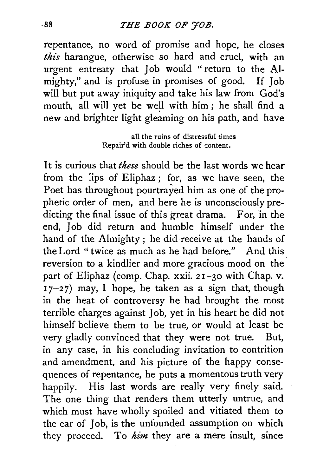# .gg *THE BOOK OF 'jOB.*

repentance, no word of promise and hope, he closes *this* harangue, otherwise so hard and cruel, with an urgent entreaty that Job would " return to the Almighty," and is profuse in promises of good. If Job will but put away iniquity and take his law from God's mouth, all will yet be well with him; he shall find a new and brighter light gleaming on his path, and have

> all the ruins of distressful times Repair'd with double riches of content.

It is curious that *these* should be the last words we hear from the lips of Eliphaz ; for, as we have seen, the Poet has throughout pourtrayed him as one of the prophetic order of men, and here he is unconsciously predicting the final issue of this great drama. For, in the end, Job did return and humble himself under the hand of the Almighty; he did receive at the hands of the Lord "twice as much as he had before." And this reversion to a kindlier and more gracious mood on the part of Eliphaz (comp. Chap. xxii. 21-30 with Chap. v.  $17-27$ ) may, I hope, be taken as a sign that, though in the heat of controversy he had brought the most terrible charges against Job, yet in his heart he did not himself believe them to be true, or would at least be very gladly convinced that they were not true. But, in any case, in his concluding invitation to contrition and amendment, and his picture of the happy consequences of repentance, he puts a momentous truth very happily. His last words are really very finely said. The one thing that renders them utterly untrue, and which must have wholly spoiled and vitiated them to the ear of Job, is the unfounded assumption on which they proceed. To *him* they are a mere insult, since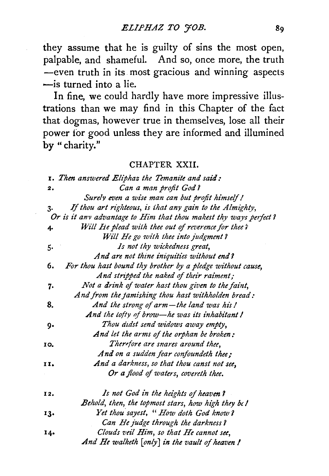they assume that he is guilty of sins the most open, palpable, and shameful. And so, once more, the truth -even truth in its most gracious and winning aspects -is turned into a lie.

In fine, we could hardly have more impressive illustrations than we may find in this Chapter of the fact that dogmas, however true in themselves, lose all their power for good unless they are informed and illumined by "charity."

#### CHAPTER XXII.

|                | 1. Then answered Eliphaz the Temanite and said:                  |
|----------------|------------------------------------------------------------------|
| $\mathbf{2}$ . | Can a man profit God?                                            |
|                | Surely even a wise man can but profit himself!                   |
| 3.             | If thou art righteous, is that any gain to the Almighty,         |
|                | Or is it any advantage to Him that thou makest thy ways perfect? |
| 4.             | Will He plead with thee out of reverence for thee's              |
|                | Will He go with thee into judgment?                              |
| 5.             | Is not thy wickedness great.                                     |
|                | And are not thine iniquities without end?                        |
| 6.             | For thou hast bound thy brother by a pledge without cause,       |
|                | And stripped the naked of their raiment;                         |
| 7.             | Not a drink of water hast thou given to the faint,               |
|                | And from the famishing thou hast withholden bread:               |
| 8.             | And the strong of arm-the land was his!                          |
|                | And the lofty of brow—he was its inhabitant !                    |
| g.             | Thou didst send widows away empty,                               |
|                | And let the arms of the orphan be broken:                        |
| 10.            | Therefore are snares around thee,                                |
|                | And on a sudden fear confoundeth thee;                           |
| 11.            | And a darkness, so that thou canst not see,                      |
|                | Or a flood of waters, covereth thee.                             |
| 12.            | Is not God in the heights of heaven?                             |
|                | Behold, then, the topmost stars, how high they be!               |
| 13.            | Yet thou sayest, "How doth God know?                             |
|                | Can He judge through the darkness?                               |
| 14.            | Clouds veil Him, so that He cannot see,                          |
|                | And He walketh [only] in the vault of heaven !                   |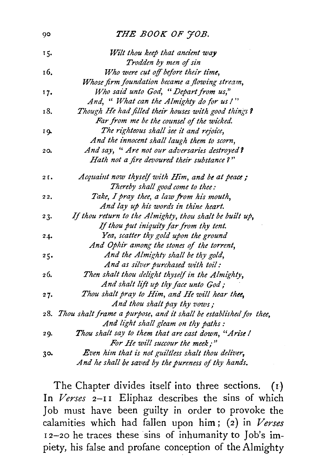#### 90 **THE BOOK OF 70B.**

| 15.  | Wilt thou keep that ancient way                                       |
|------|-----------------------------------------------------------------------|
|      | Trodden by men of sin                                                 |
| 16.  | Who were cut off before their time,                                   |
|      | Whose firm foundation became a flowing stream,                        |
| 17.  | Who said unto God, "Depart from us,"                                  |
|      | And, " What can the Almighty do for us !"                             |
| 18.  | Though He had filled their houses with good things?                   |
|      | Far from me be the counsel of the wicked.                             |
| 19.  | The righteous shall see it and rejoice,                               |
|      | And the innocent shall laugh them to scorn,                           |
| 20.  | And say, " Are not our adversaries destroyed?                         |
|      | Hath not a fire devoured their substance?"                            |
| 2 C. | Acquaint now thyself with Him, and be at peace;                       |
|      | Thereby shall good come to thee:                                      |
| 22.  | Take, I pray thee, a law from his mouth,                              |
|      | And lay up his words in thine heart.                                  |
| 23.  | If thou return to the Almighty, thou shalt be built up,               |
|      | If thou put iniquity far from thy tent.                               |
| 24.  | Yea, scatter thy gold upon the ground                                 |
|      | And Ophir among the stones of the torrent,                            |
| 25.  | And the Almighty shall be thy gold,                                   |
|      | And as silver purchased with toil:                                    |
| 26.  | Then shalt thou delight thyself in the Almighty,                      |
|      | And shalt lift up thy face unto God;                                  |
| 27.  | Thou shalt pray to Him, and He will hear thee,                        |
|      | And thou shalt pay thy vows;                                          |
|      | 28. Thou shalt frame a purpose, and it shall be established for thee, |
|      | And light shall gleam on thy paths:                                   |
| 29.  | Thou shalt say to them that are cast down, "Arise !                   |
|      | For He will succour the meek;"                                        |
| 30.  | Even him that is not guiltless shalt thou deliver,                    |
|      | And he shall be saved by the pureness of thy hands.                   |

The Chapter divides itself into three sections. (r) In *Verses* 2-11 Eliphaz describes the sins of which Job must have been guilty in order to provoke the calamities which had fallen upon him; (2) in *Verses*  12-20 he traces these sins of inhumanity to Job's impiety, his false and profane conception of the Almighty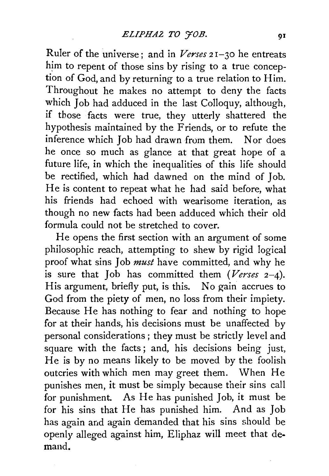Ruler of the universe; and in *Verses* 21-30 he entreats him to repent of those sins by rising to a true conception of God, and by returning to a true relation to Him. Throughout he makes no attempt to deny the facts which Job had adduced in the last Colloquy, although, if those facts were true, they utterly shattered the hypothesis maintained by the Friends, or to refute the inference which Job had drawn from them. Nor does he once so much as glance at that great hope of a future life, in which the inequalities of this life should be rectified, which had dawned on the mind of Job. He is content to repeat what he had said before, what his friends had echoed with wearisome iteration, as though no new facts had been adduced which their old formula could not be stretched to cover.

He opens the first section with an argument of some philosophic reach, attempting to shew by rigid logical proof what sins Job *must* have committed, and why he is sure that Job has committed them *(Verses* 2-4). His argument, briefly put, is this. No gain accrues to God from the piety of men, no loss from their impiety. Because He has nothing to fear and nothing to hope for at their hands, his decisions must be unaffected by personal considerations ; they must be strictly level and square with the facts; and, his decisions being just, He is by no means likely to be moved by the foolish outcries with which men may greet them. When He punishes men, it must be simply because their sins call for punishment. As He has punished Job, it must be for his sins that He has punished him. And as Job has again and again demanded that his sins should be openly alleged against him, Eliphaz will meet that demand.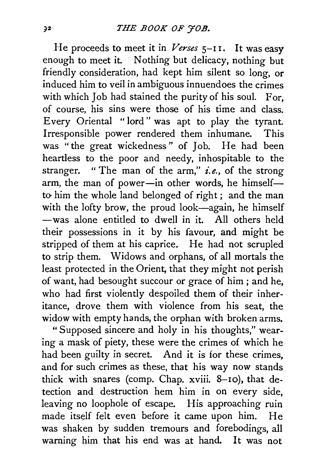He proceeds to meet it in *Verses* 5-11. It was easy enough to meet it. Nothing but delicacy, nothing but friendly consideration, had kept him silent so long, or induced him to veil in ambiguous innuendoes the crimes with which Job had stained the purity of his soul. For, of course, his sins were those of his time and class. Every Oriental "lord" was apt to play the tyrant. Irresponsible power rendered them inhumane. This was "the great wickedness " of Job. He had been heartless to the poor and needy, inhospitable to the stranger. " The man of the arm," *i.e.,* of the strong arm, the man of power-in other words, he himselfto him the whole land belonged of right; and the man with the lofty brow, the proud look-again, he himself -was alone entitled to dwell in it. All others held their possessions in it by his favour, and might be stripped of them at his caprice. He had not scrupled to strip them. Widows and orphans, of all mortals the least protected in the Orient, that they might not perish of want, had besought succour or grace of him; and he, who had first violently despoiled them of their inheritance, drove them with violence from his seat, the widow with empty hands, the orphan with broken arms.

"Supposed sincere and holy in his thoughts," wearing a mask of piety, these were the crimes of which he had been guilty in secret. And it is for these *crimes,*  and for such crimes as these, that his way now stands thick with snares (comp. Chap. xviii. 8-10), that detection and destruction hem him in on every side, leaving no loophole of escape. His approaching ruin made itself felt even before it came upon him. He was shaken by sudden tremours and forebodings, all warning him that his end was at hand. It was not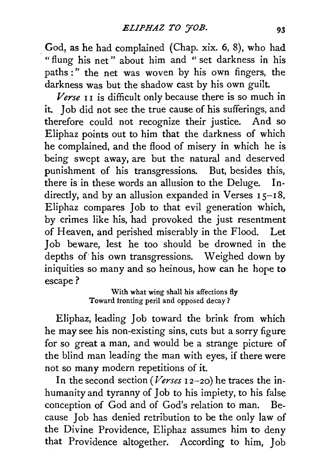\_God, as he had complained (Chap. xix. 6, 8), who had "flung his net" about him and " set darkness in his paths :" the net was woven by his own fingers, the darkness was but the shadow cast by his own guilt.

*Verse* I I is difficult only because there is so much in it. Job did not see the true cause of his sufferings, and therefore could not recognize their justice. And so Eliphaz points out to him that the darkness of which he complained, and the flood of misery in which he is being swept away, are but the natural and deserved punishment of his transgressions. But, besides this, there is in these words an allusion to the Deluge. Indirectly, and by an allusion expanded in Verses  $15-18$ , Eliphaz compares Job to that evil generation which, by crimes like his, had provoked the just resentment of Heaven, and perished miserably in the Flood. Let 1 ob beware, lest he too should be drowned in the depths of his own transgressions. Weighed down by iniquities so many and so heinous, how can he hope to escape?

> With what wing shall his affections fly Toward fronting peril and opposed decay?

Eliphaz, leading Job toward the brink from which he may see his non-existing sins, cuts but a sorry figure for so great a man, and would be a strange picture of the blind man leading the man with eyes, if there were not so many modern repetitions of it.

In the second section *(Verses* I 2-20) he traces the inhumanity and tyranny of Job to his impiety, to his false conception of God and of God's relation to man. Because Job has denied retribution to be the only law of the Divine Providence, Eliphaz assumes him to deny that Providence altogether. According to him, Job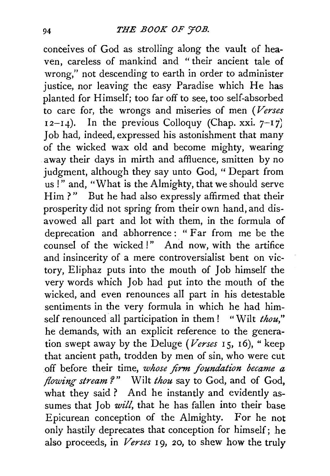conceives of God as strolling along the vault of heaven, careless of mankind and "their ancient tale of wrong," not descending to earth in order to administer justice, nor leaving the easy Paradise which He has planted for Himself; too far off to see, too self-absorbed to care for, the wrongs and miseries of men *(Verses*   $I_2-I_4$ ). In the previous Colloquy (Chap. xxi.  $7-I_7$ ) Job had, indeed, expressed his astonishment that many of the wicked wax old and become mighty, wearing away their days in mirth and affluence, smitten by no judgment, although they say unto God, " Depart from us!" and, "What is the Almighty, that we should serve Him?" But he had also expressly affirmed that their prosperity did not spring from their own hand, and disavowed all part and lot with them, in the formula of deprecation and abhorrence : " Far from me be the counsel of the wicked !" And now, with the artifice and insincerity of a mere controversialist bent on victory, Eliphaz puts into the mouth of Job himself the very words which Job had put into the mouth of the wicked, and even renounces all part in his detestable sentiments in the very formula in which he had himself renounced all participation in them! "Wilt *thou,"*  he demands, with an explicit reference to the generation swept away by the Deluge (Verses 15, 16), " keep that ancient path, trodden by men of sin, who were cut off before their time, *whose firm foundation became a flowing stream ?* " Wilt *thou* say to God, and of God, what they said ? And he instantly and evidently assumes that Job *will*, that he has fallen into their base Epicurean conception of the Almighty. For he not only hastily deprecates that conception for himself; he also proceeds, in *Verses* I g, *20,* to shew how the truly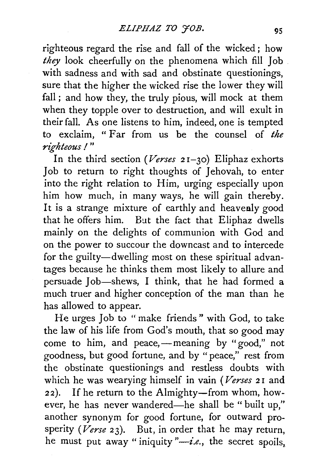righteous regard the rise and fall of the wicked ; how *they* look cheerfully on the phenomena which fill Job with sadness and with sad and obstinate questionings, sure that the higher the wicked rise the lower they will fall; and how they, the truly pious, will mock at them when they topple over to destruction, and will exult in their fall. As one listens to him, indeed, one is tempted to exclaim, " Far from us be the counsel of *the righteous I* "

In the third section *(Verses* 2 1-30) Eliphaz exhorts Job to return to right thoughts of Jehovah, to enter into the right relation to Him, urging especially upon him how much, in many ways, he will gain thereby. It is a strange mixture of earthly and heavenly good that he offers him. But the fact that Eliphaz dwells mainly on the delights of communion with God and on the power to succour the downcast and to intercede for the guilty-dwelling most on these spiritual advantages because he thinks them most likely to allure and persuade Job-shews, I think, that he had formed a much truer and higher conception of the man than he has allowed to appear.

He urges Job to " make friends " with God, to take the law of his life from God's mouth, that so good may come to him, and peace,—meaning by "good," not goodness, but good fortune, and by "peace," rest from the obstinate questionings and restless doubts with which he was wearying himself in vain *(Verses* 2 I and 22). If he return to the Almighty-from whom, however, he has never wandered-he shall be " built up," another synonym for good fortune, for outward prosperity *(Verse* 23). But, in order that he may return, he must put away "iniquity  $\frac{n}{i}$  *-i.e.*, the secret spoils,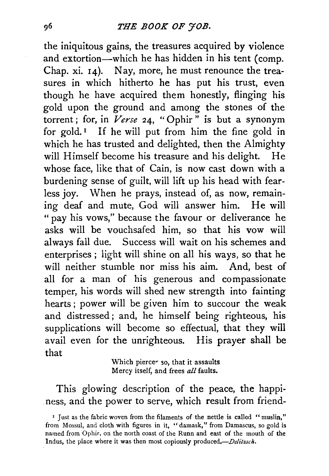the iniquitous gains, the treasures acquired by violence and extortion-which he has hidden in his tent (comp. Chap. xi. 14). Nay, more, he must renounce the treasures in which hitherto he has put his trust, even though he have acquired them honestly, flinging his gold upon the ground and among the stones of the torrent ; for, in *Verse* 24, " Ophir " is but a synonym for gold.<sup> $I$ </sup> If he will put from him the fine gold in which he has trusted and delighted, then the Almighty will Himself become his treasure and his delight. He whose face, like that of Cain, is now cast down with a burdening sense of guilt, will lift up his head with fearless joy. When he prays, instead of, as now, remaining deaf and mute, God will answer him. He will " pay his vows," because the favour or deliverance he asks will be vouchsafed him, so that his vow will always fall due. Success will wait on his schemes and enterprises; light will shine on all his ways, so that he will neither stumble nor miss his aim. And, best of all for a man of his generous and compassionate temper, his words will shed new strength into fainting hearts; power will be given him to succour the weak and distressed; and, he himself being righteous, his supplications will become so effectual, that they will avail even for the unrighteous. His prayer shall be that

Which piercer so, that it assaults Mercy itself, and frees *all* faults.

This glowing description of the peace, the happiness, and the power to serve, which result from friend-

<sup>&#</sup>x27; Just as the fabric woven from the filaments of the nettle is called "muslin," from Mossul, and cloth with figures in it, "damask," from Damascus, so gold is named from Ophir, on the north coast of the Runn and east of the mouth of the Indus, the place where it was then most copiously produced.-*Delitzsch*.